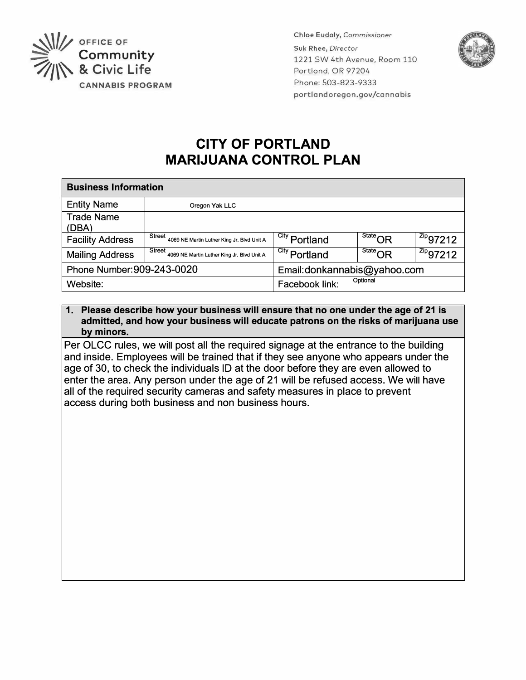

**Chloe Eudaly,** *Commissioner*  **Suk Rhee,** *Director*  1221 SW 4th Avenue, Room 110 Portland, OR 97204 Phone:503-823-9333 portlandoregon.gov/cannabis



# **CITY OF PORTLAND MARIJUANA CONTROL PLAN**

| <b>Business Information</b> |                                                      |                             |                                                      |                        |
|-----------------------------|------------------------------------------------------|-----------------------------|------------------------------------------------------|------------------------|
| <b>Entity Name</b>          | Oregon Yak LLC                                       |                             |                                                      |                        |
| <b>Trade Name</b>           |                                                      |                             |                                                      |                        |
| (DBA)                       |                                                      |                             |                                                      |                        |
| <b>Facility Address</b>     | Street<br>4069 NE Martin Luther King Jr, Blvd Unit A | <sup>City</sup> Portland    | $\overline{\phantom{a}}^{\mathsf{State}}\mathsf{OR}$ | $12^{2ip}97212$        |
| <b>Mailing Address</b>      | Street<br>4069 NE Martin Luther King Jr. Blvd Unit A | <sup>City</sup> Portland    | $\overline{\phantom{a}}^{\rm State} \cap {\sf R}$    | $\frac{z_{ip}}{97212}$ |
| Phone Number: 909-243-0020  |                                                      | Email:donkannabis@yahoo.com |                                                      |                        |
| Website:                    |                                                      | Optional<br>Facebook link:  |                                                      |                        |

## **1. Please describe how your business will ensure that no one under the age of 21 is admitted, and how your business will educate patrons on the risks of marijuana use by minors.**

Per OLCC rules, we will post all the required signage at the entrance to the building and inside. Employees will be trained that if they see anyone who appears under the age of 30, to check the individuals ID at the door before they are even allowed to enter the area. Any person under the age of 21 will be refused access. We will have all of the required security cameras and safety measures in place to prevent access during both business and non business hours.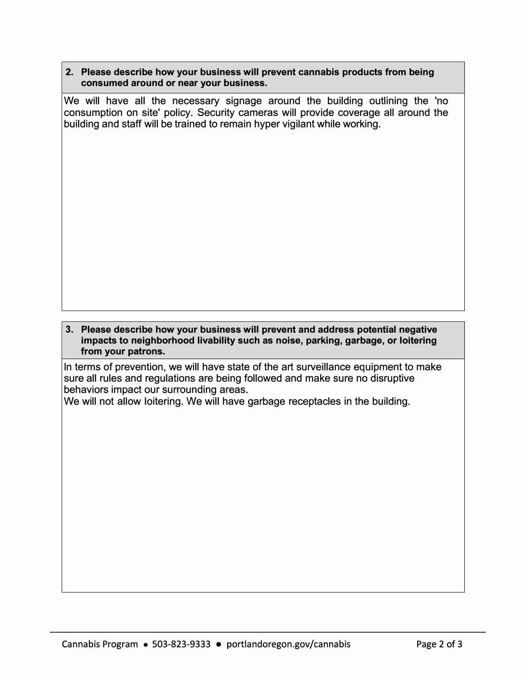### **2. Please describe how your business will prevent cannabis products from being consumed around or near your business.**

We will have all the necessary signage around the building outlining the 'no consumption on site' policy. Security cameras will provide coverage all around the building and staff will be trained to remain hyper vigilant while working.

#### **3. Please describe how your business will prevent and address potential negative impacts to neighborhood livability such as noise, parking, garbage, or loitering from your patrons.**

In terms of prevention, we will have state of the art surveillance equipment to make sure all rules and regulations are being followed and make sure no disruptive behaviors impact our surrounding areas.

We will not allow loitering. We will have garbage receptacles in the building.